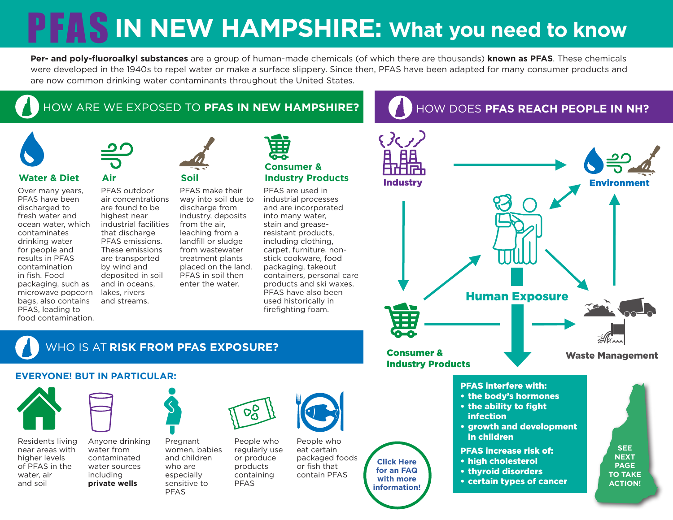# **PFAS IN NEW HAMPSHIRE: What you need to know**

**Per- and poly-fluoroalkyl substances** are a group of human-made chemicals (of which there are thousands) **known as PFAS**. These chemicals were developed in the 1940s to repel water or make a surface slippery. Since then, PFAS have been adapted for many consumer products and are now common drinking water contaminants throughout the United States.

# HOW ARE WE EXPOSED TO **PFAS IN NEW HAMPSHIRE?**



### **Water & Diet Air Soil**

Over many years, PFAS have been discharged to fresh water and ocean water, which contaminates drinking water for people and results in PFAS contamination in fish. Food packaging, such as microwave popcorn bags, also contains PFAS, leading to food contamination.



PFAS outdoor

are found to be highest near

that discharge PFAS emissions. These emissions are transported by wind and deposited in soil and in oceans, lakes, rivers and streams.

air concentrations industrial facilities PFAS make their way into soil due to discharge from industry, deposits from the air, leaching from a landfill or sludge from wastewater treatment plants placed on the land. PFAS in soil then enter the water.



### **Consumer & Industry Products** PFAS are used in

industrial processes and are incorporated into many water, stain and greaseresistant products, including clothing, carpet, furniture, nonstick cookware, food packaging, takeout containers, personal care products and ski waxes. PFAS have also been used historically in firefighting foam.

# HOW DOES **PFAS REACH PEOPLE IN NH?**



# WHO IS AT **RISK FROM PFAS EXPOSURE?**

### **EVERYONE! BUT IN PARTICULAR:**



Residents living near areas with higher levels of PFAS in the water, air and soil



Anyone drinking water from contaminated water sources including **private wells** who are especially sensitive to PFAS

Pregnant women, babies and children

People who regularly use or produce products containing

PFAS

 $\infty$ 



People who eat certain packaged foods or fish that contain PFAS